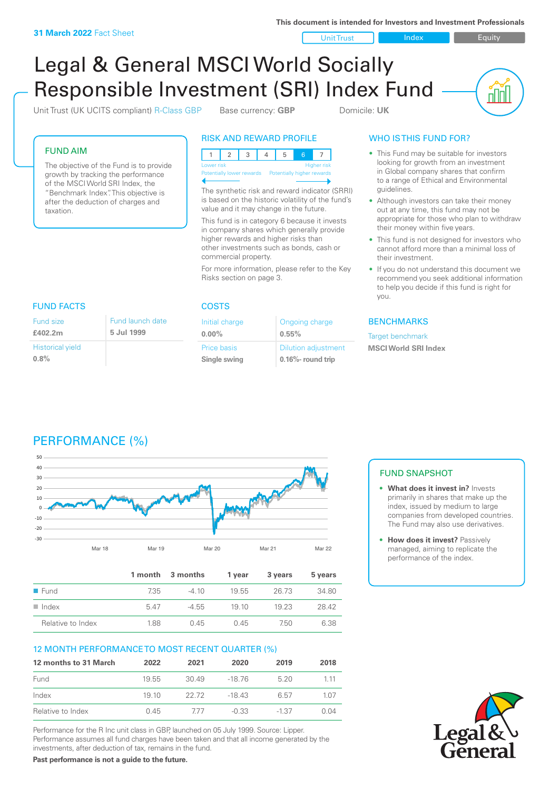**This document is intended for Investors and Investment Professionals**

Unit Trust Index I Equity

<u>nul</u>

# Legal & General MSCI World Socially Responsible Investment (SRI) Index Fund

Unit Trust (UK UCITS compliant) R-Class GBP Base currency: **GBP** Domicile: UK

FUND AIM

The objective of the Fund is to provide growth by tracking the performance of the MSCI World SRI Index, the "Benchmark Index". This objective is after the deduction of charges and taxation.

FUND FACTS COSTS

#### RISK AND REWARD PROFILE



The synthetic risk and reward indicator (SRRI) is based on the historic volatility of the fund's value and it may change in the future.

This fund is in category 6 because it invests in company shares which generally provide higher rewards and higher risks than other investments such as bonds, cash or commercial property.

For more information, please refer to the Key Risks section on page 3.

Ongoing charge

Dilution adjustment **0.16%- round trip**

**0.55%**

Initial charge **0.00%**

Price basis **Single swing**

#### WHO IS THIS FUND FOR?

- This Fund may be suitable for investors looking for growth from an investment in Global company shares that confirm to a range of Ethical and Environmental guidelines.
- Although investors can take their money out at any time, this fund may not be appropriate for those who plan to withdraw their money within five years.
- This fund is not designed for investors who cannot afford more than a minimal loss of their investment.
- If you do not understand this document we recommend you seek additional information to help you decide if this fund is right for you.

#### **BENCHMARKS**

Target benchmark **MSCI World SRI Index**

#### Fund size **£402.2m** Fund launch date **5 Jul 1999**

Historical yield **0.8%**

## PERFORMANCE (%)



|                      |      | 1 month 3 months | 1 vear | 3 years | 5 years |
|----------------------|------|------------------|--------|---------|---------|
| $\blacksquare$ Fund  | 7.35 | $-410$           | 1955   | 26.73   | 34.80   |
| $\blacksquare$ Index | 547  | $-4.55$          | 19 10  | 19 23   | 28.42   |
| Relative to Index    | 1.88 | 045              | 045    | 750     | 6.38    |

#### 12 MONTH PERFORMANCE TO MOST RECENT QUARTER (%)

| 12 months to 31 March | 2022  | 2021  | 2020    | 2019    | 2018  |
|-----------------------|-------|-------|---------|---------|-------|
| Fund                  | 19.55 | 30.49 | -18.76  | 520     | 1 1 1 |
| Index                 | 19 10 | 22.72 | $-1843$ | 6.57    | 1.07  |
| Relative to Index     | 0.45  | 777   | $-0.33$ | $-1.37$ | በ በ4  |

Performance for the R Inc unit class in GBP, launched on 05 July 1999. Source: Lipper. Performance assumes all fund charges have been taken and that all income generated by the investments, after deduction of tax, remains in the fund.

**Past performance is not a guide to the future.**

#### FUND SNAPSHOT

- **• What does it invest in?** Invests primarily in shares that make up the index, issued by medium to large companies from developed countries. The Fund may also use derivatives.
- **• How does it invest?** Passively managed, aiming to replicate the performance of the index.

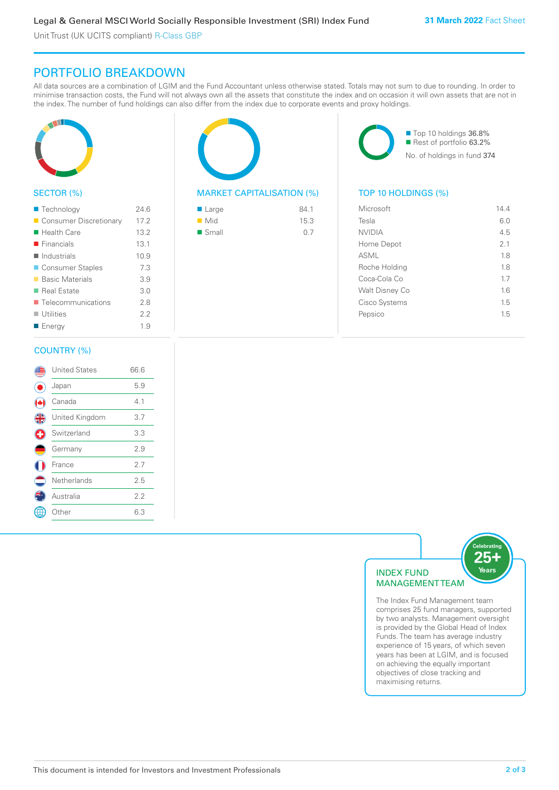Unit Trust (UK UCITS compliant) R-Class GBP

### PORTFOLIO BREAKDOWN

All data sources are a combination of LGIM and the Fund Accountant unless otherwise stated. Totals may not sum to due to rounding. In order to minimise transaction costs, the Fund will not always own all the assets that constitute the index and on occasion it will own assets that are not in the index. The number of fund holdings can also differ from the index due to corporate events and proxy holdings.



#### SECTOR (%)

| ■ Technology                      | 24.6 |
|-----------------------------------|------|
| Consumer Discretionary            | 17.2 |
| ■ Health Care                     | 13.2 |
| $\blacksquare$ Financials         | 13.1 |
| $\blacksquare$ Industrials        | 10.9 |
| ■ Consumer Staples                | 7.3  |
| ■ Basic Materials                 | 3.9  |
| ■ Real Estate                     | 3.0  |
| $\blacksquare$ Telecommunications | 2.8  |
| $\blacksquare$ Utilities          | 2.2  |
| ■ Energy                          | 1.9  |
|                                   |      |

#### COUNTRY (%)

|               | <b>United States</b> | 66.6 |  |
|---------------|----------------------|------|--|
|               | Japan                | 5.9  |  |
|               | Canada               | 4.1  |  |
| $\frac{4}{5}$ | United Kingdom       | 3.7  |  |
| Ŧ             | Switzerland          | 3.3  |  |
|               | Germany              | 2.9  |  |
|               | France               | 2.7  |  |
|               | Netherlands          | 2.5  |  |
|               | Australia            | 2.2  |  |
|               | Other                | 6.3  |  |
|               |                      |      |  |



#### MARKET CAPITALISATION (%) TOP 10 HOLDINGS (%)

| ■ Large              | 84.1 |
|----------------------|------|
| $\blacksquare$ Mid   | 15.3 |
| $\blacksquare$ Small | 0.7  |

■ Top 10 holdings 36.8% Rest of portfolio 63.2% No. of holdings in fund 374

| Microsoft      | 144 |
|----------------|-----|
| Tesla          | 6.0 |
| <b>NVIDIA</b>  | 4.5 |
| Home Depot     | 21  |
| ASML           | 1.8 |
| Roche Holding  | 18  |
| Coca-Cola Co   | 17  |
| Walt Disney Co | 16  |
| Cisco Systems  | 1.5 |
| Pepsico        | 1.5 |
|                |     |



The Index Fund Management team comprises 25 fund managers, supported by two analysts. Management oversight is provided by the Global Head of Index Funds. The team has average industry experience of 15 years, of which seven years has been at LGIM, and is focused on achieving the equally important objectives of close tracking and maximising returns.